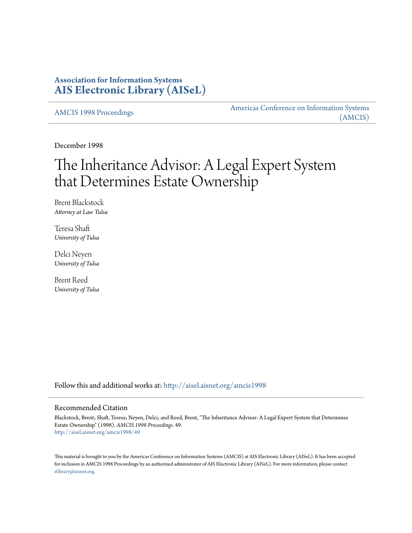# **Association for Information Systems [AIS Electronic Library \(AISeL\)](http://aisel.aisnet.org?utm_source=aisel.aisnet.org%2Famcis1998%2F49&utm_medium=PDF&utm_campaign=PDFCoverPages)**

[AMCIS 1998 Proceedings](http://aisel.aisnet.org/amcis1998?utm_source=aisel.aisnet.org%2Famcis1998%2F49&utm_medium=PDF&utm_campaign=PDFCoverPages)

[Americas Conference on Information Systems](http://aisel.aisnet.org/amcis?utm_source=aisel.aisnet.org%2Famcis1998%2F49&utm_medium=PDF&utm_campaign=PDFCoverPages) [\(AMCIS\)](http://aisel.aisnet.org/amcis?utm_source=aisel.aisnet.org%2Famcis1998%2F49&utm_medium=PDF&utm_campaign=PDFCoverPages)

December 1998

# The Inheritance Advisor: A Legal Expert System that Determines Estate Ownership

Brent Blackstock *Attorney at Law Tulsa*

Teresa Shaft *University of Tulsa*

Delci Neyen *University of Tulsa*

Brent Reed *University of Tulsa*

Follow this and additional works at: [http://aisel.aisnet.org/amcis1998](http://aisel.aisnet.org/amcis1998?utm_source=aisel.aisnet.org%2Famcis1998%2F49&utm_medium=PDF&utm_campaign=PDFCoverPages)

#### Recommended Citation

Blackstock, Brent; Shaft, Teresa; Neyen, Delci; and Reed, Brent, "The Inheritance Advisor: A Legal Expert System that Determines Estate Ownership" (1998). *AMCIS 1998 Proceedings*. 49. [http://aisel.aisnet.org/amcis1998/49](http://aisel.aisnet.org/amcis1998/49?utm_source=aisel.aisnet.org%2Famcis1998%2F49&utm_medium=PDF&utm_campaign=PDFCoverPages)

This material is brought to you by the Americas Conference on Information Systems (AMCIS) at AIS Electronic Library (AISeL). It has been accepted for inclusion in AMCIS 1998 Proceedings by an authorized administrator of AIS Electronic Library (AISeL). For more information, please contact [elibrary@aisnet.org.](mailto:elibrary@aisnet.org%3E)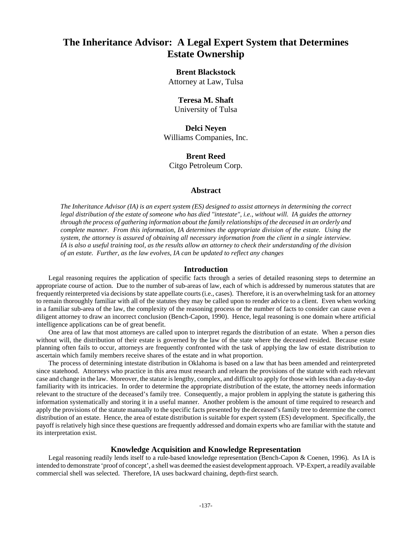# **The Inheritance Advisor: A Legal Expert System that Determines Estate Ownership**

## **Brent Blackstock**

Attorney at Law, Tulsa

# **Teresa M. Shaft**

University of Tulsa

# **Delci Neyen** Williams Companies, Inc.

## **Brent Reed** Citgo Petroleum Corp.

### **Abstract**

*The Inheritance Advisor (IA) is an expert system (ES) designed to assist attorneys in determining the correct legal distribution of the estate of someone who has died "intestate", i.e., without will. IA guides the attorney through the process of gathering information about the family relationships of the deceased in an orderly and complete manner. From this information, IA determines the appropriate division of the estate. Using the system, the attorney is assured of obtaining all necessary information from the client in a single interview. IA is also a useful training tool, as the results allow an attorney to check their understanding of the division of an estate. Further, as the law evolves, IA can be updated to reflect any changes*

#### **Introduction**

Legal reasoning requires the application of specific facts through a series of detailed reasoning steps to determine an appropriate course of action. Due to the number of sub-areas of law, each of which is addressed by numerous statutes that are frequently reinterpreted via decisions by state appellate courts (i.e., cases). Therefore, it is an overwhelming task for an attorney to remain thoroughly familiar with all of the statutes they may be called upon to render advice to a client. Even when working in a familiar sub-area of the law, the complexity of the reasoning process or the number of facts to consider can cause even a diligent attorney to draw an incorrect conclusion (Bench-Capon, 1990). Hence, legal reasoning is one domain where artificial intelligence applications can be of great benefit.

One area of law that most attorneys are called upon to interpret regards the distribution of an estate. When a person dies without will, the distribution of their estate is governed by the law of the state where the deceased resided. Because estate planning often fails to occur, attorneys are frequently confronted with the task of applying the law of estate distribution to ascertain which family members receive shares of the estate and in what proportion.

The process of determining intestate distribution in Oklahoma is based on a law that has been amended and reinterpreted since statehood. Attorneys who practice in this area must research and relearn the provisions of the statute with each relevant case and change in the law. Moreover, the statute is lengthy, complex, and difficult to apply for those with less than a day-to-day familiarity with its intricacies. In order to determine the appropriate distribution of the estate, the attorney needs information relevant to the structure of the deceased's family tree. Consequently, a major problem in applying the statute is gathering this information systematically and storing it in a useful manner. Another problem is the amount of time required to research and apply the provisions of the statute manually to the specific facts presented by the deceased's family tree to determine the correct distribution of an estate. Hence, the area of estate distribution is suitable for expert system (ES) development. Specifically, the payoff is relatively high since these questions are frequently addressed and domain experts who are familiar with the statute and its interpretation exist.

### **Knowledge Acquisition and Knowledge Representation**

Legal reasoning readily lends itself to a rule-based knowledge representation (Bench-Capon & Coenen, 1996).As IA is intended to demonstrate 'proof of concept', a shell was deemed the easiest development approach. VP-Expert, a readily available commercial shell was selected. Therefore, IA uses backward chaining, depth-first search.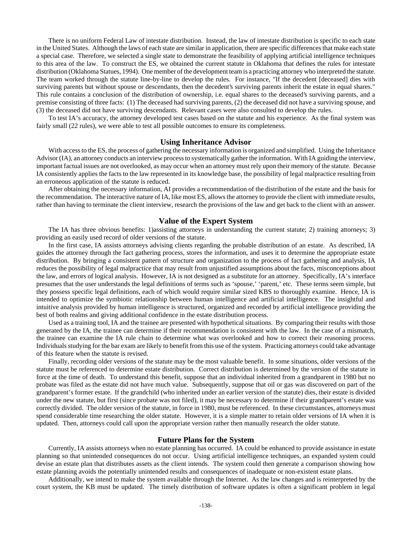There is no uniform Federal Law of intestate distribution. Instead, the law of intestate distribution is specific to each state in the United States. Although the laws of each state are similar in application, there are specific differences that make each state a special case. Therefore, we selected a single state to demonstrate the feasibility of applying artificial intelligence techniques to this area of the law. To construct the ES, we obtained the current statute in Oklahoma that defines the rules for intestate distribution (Oklahoma Statues, 1994). One member of the development team is a practicing attorney who interpreted the statute. The team worked through the statute line-by-line to develop the rules. For instance, "If the decedent [deceased] dies with surviving parents but without spouse or descendants, then the decedent's surviving parents inherit the estate in equal shares." This rule contains a conclusion of the distribution of ownership, i.e. equal shares to the deceased's surviving parents, and a premise consisting of three facts: (1) The deceased had surviving parents, (2) the deceased did not have a surviving spouse, and (3) the deceased did not have surviving descendants. Relevant cases were also consulted to develop the rules.

To test IA's accuracy, the attorney developed test cases based on the statute and his experience. As the final system was fairly small (22 rules), we were able to test all possible outcomes to ensure its completeness.

#### **Using Inheritance Advisor**

With access to the ES, the process of gathering the necessary information is organized and simplified. Using the Inheritance Advisor (IA), an attorney conducts an interview process to systematically gather the information. With IA guiding the interview, important factual issues are not overlooked, as may occur when an attorney must rely upon their memory of the statute. Because IA consistently applies the facts to the law represented in its knowledge base, the possibility of legal malpractice resulting from an erroneous application of the statute is reduced.

After obtaining the necessary information, AI provides a recommendation of the distribution of the estate and the basis for the recommendation. The interactive nature of IA, like most ES, allows the attorney to provide the client with immediate results, rather than having to terminate the client interview, research the provisions of the law and get back to the client with an answer.

#### **Value of the Expert System**

The IA has three obvious benefits: 1)assisting attorneys in understanding the current statute; 2) training attorneys; 3) providing an easily used record of older versions of the statute.

In the first case, IA assists attorneys advising clients regarding the probable distribution of an estate. As described, IA guides the attorney through the fact gathering process, stores the information, and uses it to determine the appropriate estate distribution. By bringing a consistent pattern of structure and organization to the process of fact gathering and analysis, IA reduces the possibility of legal malpractice that may result from unjustified assumptions about the facts, misconceptions about the law, and errors of logical analysis. However, IA is not designed as a substitute for an attorney. Specifically, IA's interface presumes that the user understands the legal definitions of terms such as 'spouse,' 'parent,' etc. These terms seem simple, but they possess specific legal definitions, each of which would require similar sized KBS to thoroughly examine. Hence, IA is intended to optimize the symbiotic relationship between human intelligence and artificial intelligence. The insightful and intuitive analysis provided by human intelligence is structured, organized and recorded by artificial intelligence providing the best of both realms and giving additional confidence in the estate distribution process.

Used as a training tool, IA and the trainee are presented with hypothetical situations. By comparing their results with those generated by the IA, the trainee can determine if their recommendation is consistent with the law. In the case of a mismatch, the trainee can examine the IA rule chain to determine what was overlooked and how to correct their reasoning process. Individuals studying for the bar exam are likely to benefit from this use of the system. Practicing attorneys could take advantage of this feature when the statute is revised.

Finally, recording older versions of the statute may be the most valuable benefit. In some situations, older versions of the statute must be referenced to determine estate distribution. Correct distribution is determined by the version of the statute in force at the time of death. To understand this benefit, suppose that an individual inherited from a grandparent in 1980 but no probate was filed as the estate did not have much value. Subsequently, suppose that oil or gas was discovered on part of the grandparent's former estate. If the grandchild (who inherited under an earlier version of the statute) dies, their estate is divided under the new statute, but first (since probate was not filed), it may be necessary to determine if their grandparent's estate was correctly divided. The older version of the statute, in force in 1980, must be referenced. In these circumstances, attorneys must spend considerable time researching the older statute. However, it is a simple matter to retain older versions of IA when it is updated. Then, attorneys could call upon the appropriate version rather then manually research the older statute.

#### **Future Plans for the System**

Currently, IA assists attorneys when no estate planning has occurred. IA could be enhanced to provide assistance in estate planning so that unintended consequences do not occur. Using artificial intelligence techniques, an expanded system could devise an estate plan that distributes assets as the client intends. The system could then generate a comparison showing how estate planning avoids the potentially unintended results and consequences of inadequate or non-existent estate plans.

Additionally, we intend to make the system available through the Internet. As the law changes and is reinterpreted by the court system, the KB must be updated. The timely distribution of software updates is often a significant problem in legal